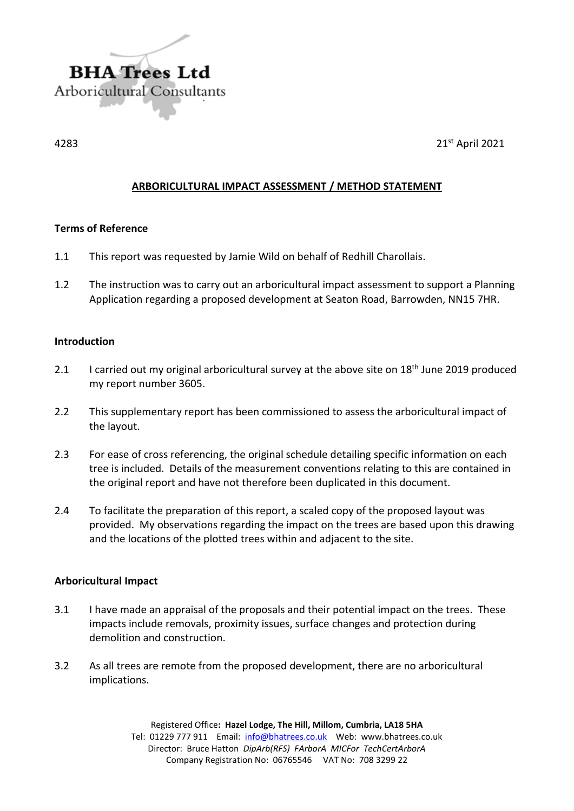

 $4283$  21st April 2021

# **ARBORICULTURAL IMPACT ASSESSMENT / METHOD STATEMENT**

## **Terms of Reference**

- 1.1 This report was requested by Jamie Wild on behalf of Redhill Charollais.
- 1.2 The instruction was to carry out an arboricultural impact assessment to support a Planning Application regarding a proposed development at Seaton Road, Barrowden, NN15 7HR.

## **Introduction**

- 2.1 I carried out my original arboricultural survey at the above site on 18<sup>th</sup> June 2019 produced my report number 3605.
- 2.2 This supplementary report has been commissioned to assess the arboricultural impact of the layout.
- 2.3 For ease of cross referencing, the original schedule detailing specific information on each tree is included. Details of the measurement conventions relating to this are contained in the original report and have not therefore been duplicated in this document.
- 2.4 To facilitate the preparation of this report, a scaled copy of the proposed layout was provided. My observations regarding the impact on the trees are based upon this drawing and the locations of the plotted trees within and adjacent to the site.

## **Arboricultural Impact**

- 3.1 I have made an appraisal of the proposals and their potential impact on the trees. These impacts include removals, proximity issues, surface changes and protection during demolition and construction.
- 3.2 As all trees are remote from the proposed development, there are no arboricultural implications.

Registered Office**: Hazel Lodge, The Hill, Millom, Cumbria, LA18 5HA** Tel: 01229 777 911 Email: [info@bhatrees.co.uk](mailto:info@bhatrees.co.uk) Web: www.bhatrees.co.uk Director: Bruce Hatton *DipArb(RFS) FArborA MICFor TechCertArborA* Company Registration No: 06765546 VAT No: 708 3299 22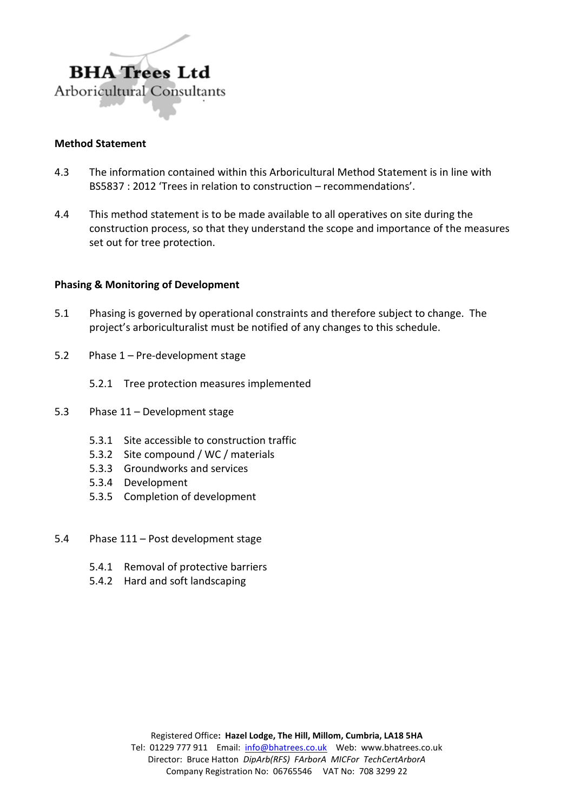

## **Method Statement**

- 4.3 The information contained within this Arboricultural Method Statement is in line with BS5837 : 2012 'Trees in relation to construction – recommendations'.
- 4.4 This method statement is to be made available to all operatives on site during the construction process, so that they understand the scope and importance of the measures set out for tree protection.

## **Phasing & Monitoring of Development**

- 5.1 Phasing is governed by operational constraints and therefore subject to change. The project's arboriculturalist must be notified of any changes to this schedule.
- 5.2 Phase 1 Pre-development stage
	- 5.2.1 Tree protection measures implemented
- 5.3 Phase 11 Development stage
	- 5.3.1 Site accessible to construction traffic
	- 5.3.2 Site compound / WC / materials
	- 5.3.3 Groundworks and services
	- 5.3.4 Development
	- 5.3.5 Completion of development
- 5.4 Phase 111 Post development stage
	- 5.4.1 Removal of protective barriers
	- 5.4.2 Hard and soft landscaping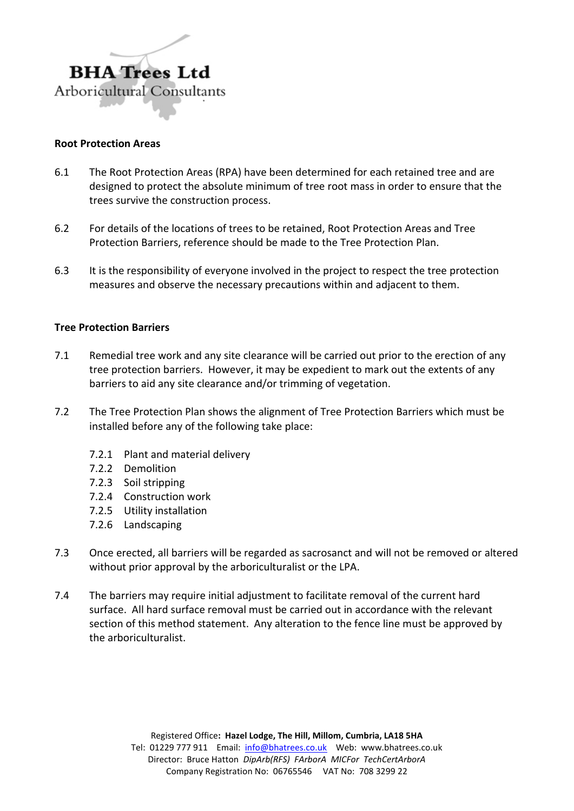

#### **Root Protection Areas**

- 6.1 The Root Protection Areas (RPA) have been determined for each retained tree and are designed to protect the absolute minimum of tree root mass in order to ensure that the trees survive the construction process.
- 6.2 For details of the locations of trees to be retained, Root Protection Areas and Tree Protection Barriers, reference should be made to the Tree Protection Plan.
- 6.3 It is the responsibility of everyone involved in the project to respect the tree protection measures and observe the necessary precautions within and adjacent to them.

## **Tree Protection Barriers**

- 7.1 Remedial tree work and any site clearance will be carried out prior to the erection of any tree protection barriers. However, it may be expedient to mark out the extents of any barriers to aid any site clearance and/or trimming of vegetation.
- 7.2 The Tree Protection Plan shows the alignment of Tree Protection Barriers which must be installed before any of the following take place:
	- 7.2.1 Plant and material delivery
	- 7.2.2 Demolition
	- 7.2.3 Soil stripping
	- 7.2.4 Construction work
	- 7.2.5 Utility installation
	- 7.2.6 Landscaping
- 7.3 Once erected, all barriers will be regarded as sacrosanct and will not be removed or altered without prior approval by the arboriculturalist or the LPA.
- 7.4 The barriers may require initial adjustment to facilitate removal of the current hard surface. All hard surface removal must be carried out in accordance with the relevant section of this method statement. Any alteration to the fence line must be approved by the arboriculturalist.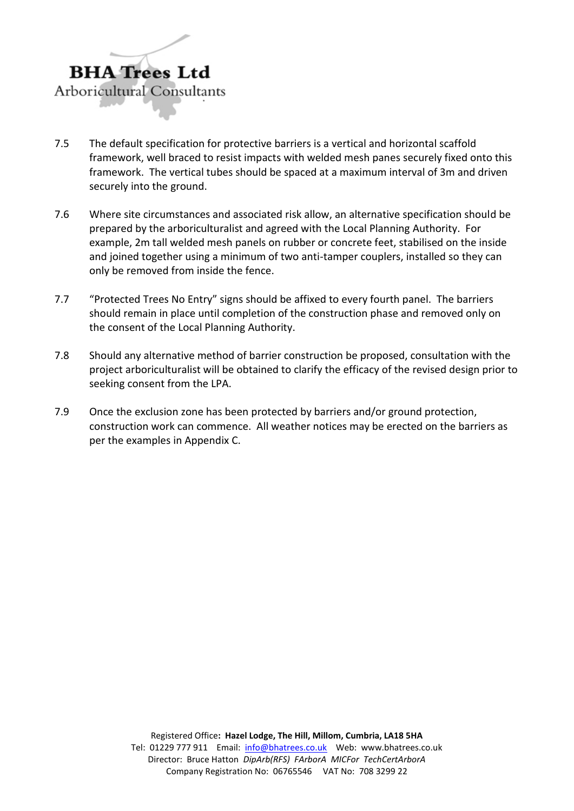

- 7.5 The default specification for protective barriers is a vertical and horizontal scaffold framework, well braced to resist impacts with welded mesh panes securely fixed onto this framework. The vertical tubes should be spaced at a maximum interval of 3m and driven securely into the ground.
- 7.6 Where site circumstances and associated risk allow, an alternative specification should be prepared by the arboriculturalist and agreed with the Local Planning Authority. For example, 2m tall welded mesh panels on rubber or concrete feet, stabilised on the inside and joined together using a minimum of two anti-tamper couplers, installed so they can only be removed from inside the fence.
- 7.7 "Protected Trees No Entry" signs should be affixed to every fourth panel. The barriers should remain in place until completion of the construction phase and removed only on the consent of the Local Planning Authority.
- 7.8 Should any alternative method of barrier construction be proposed, consultation with the project arboriculturalist will be obtained to clarify the efficacy of the revised design prior to seeking consent from the LPA.
- 7.9 Once the exclusion zone has been protected by barriers and/or ground protection, construction work can commence. All weather notices may be erected on the barriers as per the examples in Appendix C.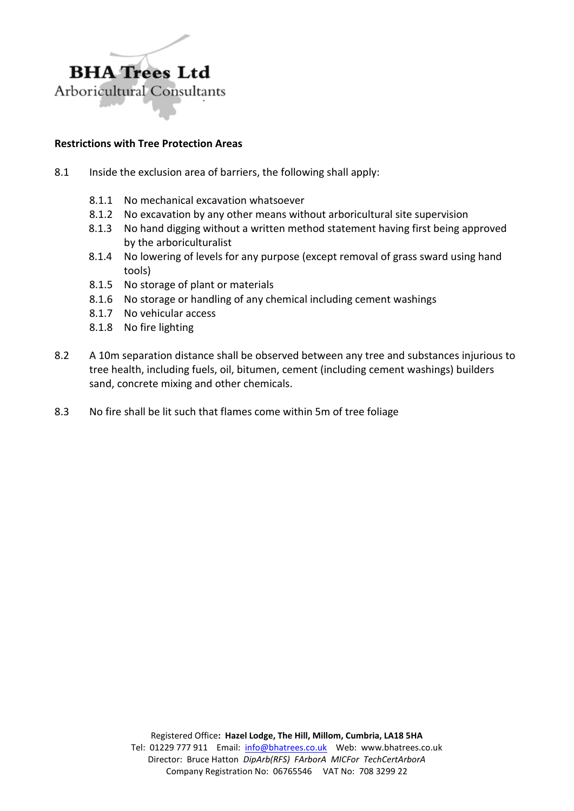

## **Restrictions with Tree Protection Areas**

- 8.1 Inside the exclusion area of barriers, the following shall apply:
	- 8.1.1 No mechanical excavation whatsoever
	- 8.1.2 No excavation by any other means without arboricultural site supervision
	- 8.1.3 No hand digging without a written method statement having first being approved by the arboriculturalist
	- 8.1.4 No lowering of levels for any purpose (except removal of grass sward using hand tools)
	- 8.1.5 No storage of plant or materials
	- 8.1.6 No storage or handling of any chemical including cement washings
	- 8.1.7 No vehicular access
	- 8.1.8 No fire lighting
- 8.2 A 10m separation distance shall be observed between any tree and substances injurious to tree health, including fuels, oil, bitumen, cement (including cement washings) builders sand, concrete mixing and other chemicals.
- 8.3 No fire shall be lit such that flames come within 5m of tree foliage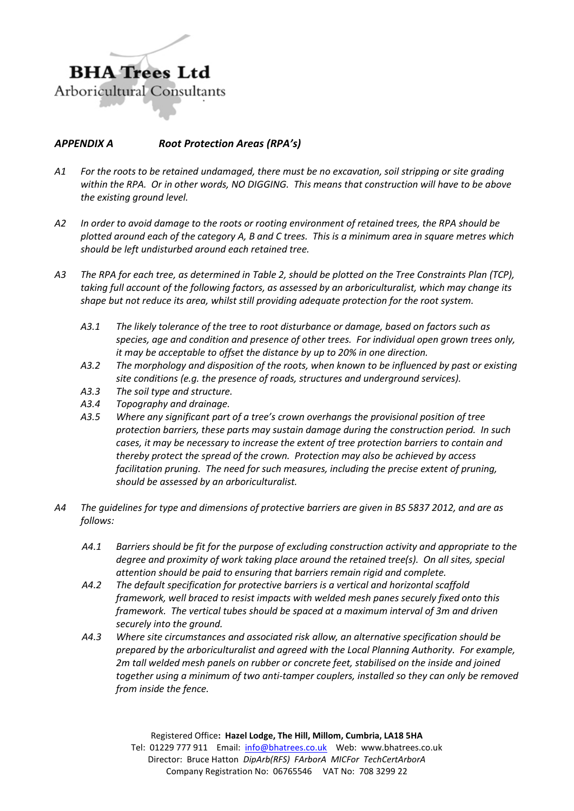

# *APPENDIX A Root Protection Areas (RPA's)*

- *A1 For the roots to be retained undamaged, there must be no excavation, soil stripping or site grading within the RPA. Or in other words, NO DIGGING. This means that construction will have to be above the existing ground level.*
- *A2 In order to avoid damage to the roots or rooting environment of retained trees, the RPA should be plotted around each of the category A, B and C trees. This is a minimum area in square metres which should be left undisturbed around each retained tree.*
- *A3 The RPA for each tree, as determined in Table 2, should be plotted on the Tree Constraints Plan (TCP), taking full account of the following factors, as assessed by an arboriculturalist, which may change its shape but not reduce its area, whilst still providing adequate protection for the root system.*
	- *A3.1 The likely tolerance of the tree to root disturbance or damage, based on factors such as species, age and condition and presence of other trees. For individual open grown trees only, it may be acceptable to offset the distance by up to 20% in one direction.*
	- *A3.2 The morphology and disposition of the roots, when known to be influenced by past or existing site conditions (e.g. the presence of roads, structures and underground services).*
	- *A3.3 The soil type and structure.*
	- *A3.4 Topography and drainage.*
	- *A3.5 Where any significant part of a tree's crown overhangs the provisional position of tree protection barriers, these parts may sustain damage during the construction period. In such cases, it may be necessary to increase the extent of tree protection barriers to contain and thereby protect the spread of the crown. Protection may also be achieved by access facilitation pruning. The need for such measures, including the precise extent of pruning, should be assessed by an arboriculturalist.*
- *A4 The guidelines for type and dimensions of protective barriers are given in BS 5837 2012, and are as follows:*
	- *A4.1 Barriers should be fit for the purpose of excluding construction activity and appropriate to the degree and proximity of work taking place around the retained tree(s). On all sites, special attention should be paid to ensuring that barriers remain rigid and complete.*
	- *A4.2 The default specification for protective barriers is a vertical and horizontal scaffold framework, well braced to resist impacts with welded mesh panes securely fixed onto this framework. The vertical tubes should be spaced at a maximum interval of 3m and driven securely into the ground.*
	- *A4.3 Where site circumstances and associated risk allow, an alternative specification should be prepared by the arboriculturalist and agreed with the Local Planning Authority. For example, 2m tall welded mesh panels on rubber or concrete feet, stabilised on the inside and joined together using a minimum of two anti-tamper couplers, installed so they can only be removed from inside the fence.*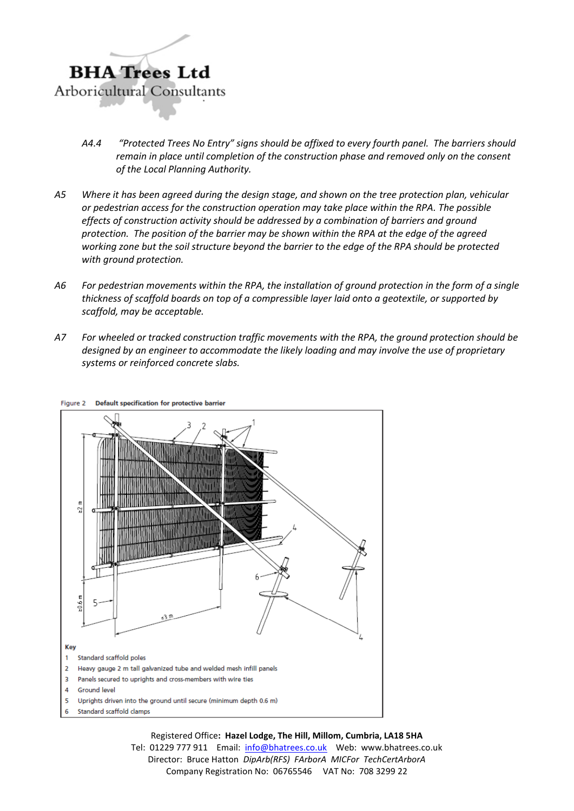

- *A4.4 "Protected Trees No Entry" signs should be affixed to every fourth panel. The barriers should remain in place until completion of the construction phase and removed only on the consent of the Local Planning Authority.*
- *A5 Where it has been agreed during the design stage, and shown on the tree protection plan, vehicular or pedestrian access for the construction operation may take place within the RPA. The possible effects of construction activity should be addressed by a combination of barriers and ground protection. The position of the barrier may be shown within the RPA at the edge of the agreed working zone but the soil structure beyond the barrier to the edge of the RPA should be protected with ground protection.*
- *A6 For pedestrian movements within the RPA, the installation of ground protection in the form of a single thickness of scaffold boards on top of a compressible layer laid onto a geotextile, or supported by scaffold, may be acceptable.*
- *A7 For wheeled or tracked construction traffic movements with the RPA, the ground protection should be designed by an engineer to accommodate the likely loading and may involve the use of proprietary systems or reinforced concrete slabs.*



Figure 2 Default specification for protective barrier

Registered Office**: Hazel Lodge, The Hill, Millom, Cumbria, LA18 5HA**

Tel: 01229 777 911 Email: [info@bhatrees.co.uk](mailto:info@bhatrees.co.uk) Web: www.bhatrees.co.uk Director: Bruce Hatton *DipArb(RFS) FArborA MICFor TechCertArborA* Company Registration No: 06765546 VAT No: 708 3299 22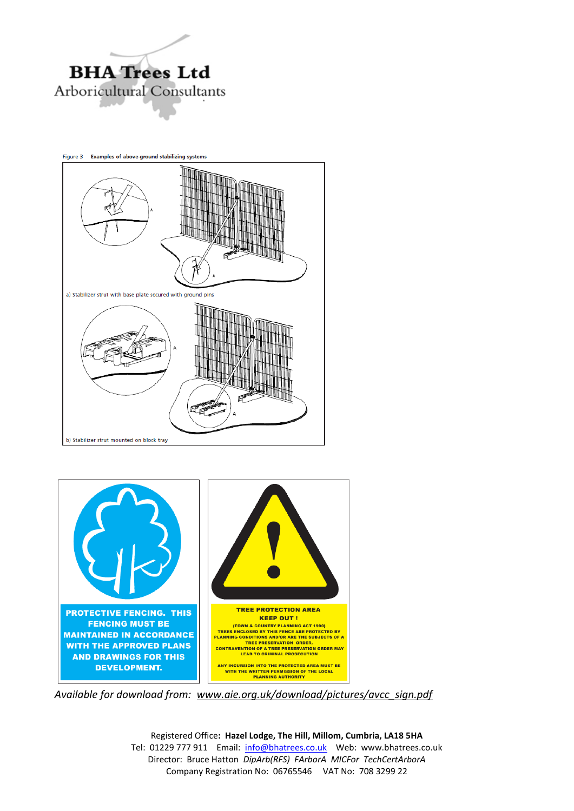

Figure 3 Examples of above-ground stabilizing systems a) Stabilizer strut with base plate secured with ground pins b) Stabilizer strut mounted on block tray



*Available for download from: [www.aie.org.uk/download/pictures/avcc\\_sign.pdf](http://www.aie.org.uk/download/pictures/avcc_sign.pdf)*

Registered Office**: Hazel Lodge, The Hill, Millom, Cumbria, LA18 5HA** Tel: 01229 777 911 Email: [info@bhatrees.co.uk](mailto:info@bhatrees.co.uk) Web: www.bhatrees.co.uk Director: Bruce Hatton *DipArb(RFS) FArborA MICFor TechCertArborA* Company Registration No: 06765546 VAT No: 708 3299 22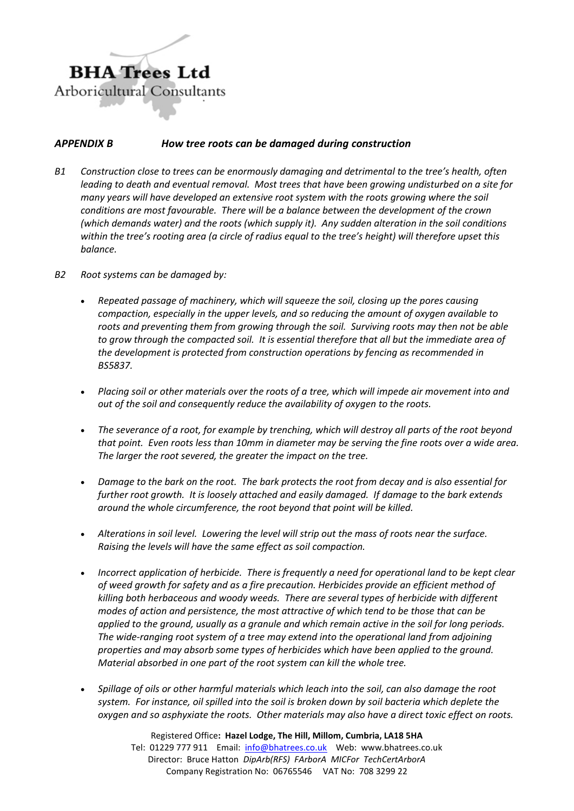

## *APPENDIX B How tree roots can be damaged during construction*

- *B1 Construction close to trees can be enormously damaging and detrimental to the tree's health, often leading to death and eventual removal. Most trees that have been growing undisturbed on a site for many years will have developed an extensive root system with the roots growing where the soil conditions are most favourable. There will be a balance between the development of the crown (which demands water) and the roots (which supply it). Any sudden alteration in the soil conditions within the tree's rooting area (a circle of radius equal to the tree's height) will therefore upset this balance.*
- *B2 Root systems can be damaged by:*
	- *Repeated passage of machinery, which will squeeze the soil, closing up the pores causing compaction, especially in the upper levels, and so reducing the amount of oxygen available to roots and preventing them from growing through the soil. Surviving roots may then not be able to grow through the compacted soil. It is essential therefore that all but the immediate area of the development is protected from construction operations by fencing as recommended in BS5837.*
	- *Placing soil or other materials over the roots of a tree, which will impede air movement into and out of the soil and consequently reduce the availability of oxygen to the roots.*
	- *The severance of a root, for example by trenching, which will destroy all parts of the root beyond that point. Even roots less than 10mm in diameter may be serving the fine roots over a wide area. The larger the root severed, the greater the impact on the tree.*
	- *Damage to the bark on the root. The bark protects the root from decay and is also essential for further root growth. It is loosely attached and easily damaged. If damage to the bark extends around the whole circumference, the root beyond that point will be killed.*
	- *Alterations in soil level. Lowering the level will strip out the mass of roots near the surface. Raising the levels will have the same effect as soil compaction.*
	- *Incorrect application of herbicide. There is frequently a need for operational land to be kept clear of weed growth for safety and as a fire precaution. Herbicides provide an efficient method of killing both herbaceous and woody weeds. There are several types of herbicide with different modes of action and persistence, the most attractive of which tend to be those that can be applied to the ground, usually as a granule and which remain active in the soil for long periods. The wide-ranging root system of a tree may extend into the operational land from adjoining properties and may absorb some types of herbicides which have been applied to the ground. Material absorbed in one part of the root system can kill the whole tree.*
	- *Spillage of oils or other harmful materials which leach into the soil, can also damage the root system. For instance, oil spilled into the soil is broken down by soil bacteria which deplete the oxygen and so asphyxiate the roots. Other materials may also have a direct toxic effect on roots.*

Registered Office**: Hazel Lodge, The Hill, Millom, Cumbria, LA18 5HA** Tel: 01229 777 911 Email: [info@bhatrees.co.uk](mailto:info@bhatrees.co.uk) Web: www.bhatrees.co.uk Director: Bruce Hatton *DipArb(RFS) FArborA MICFor TechCertArborA* Company Registration No: 06765546 VAT No: 708 3299 22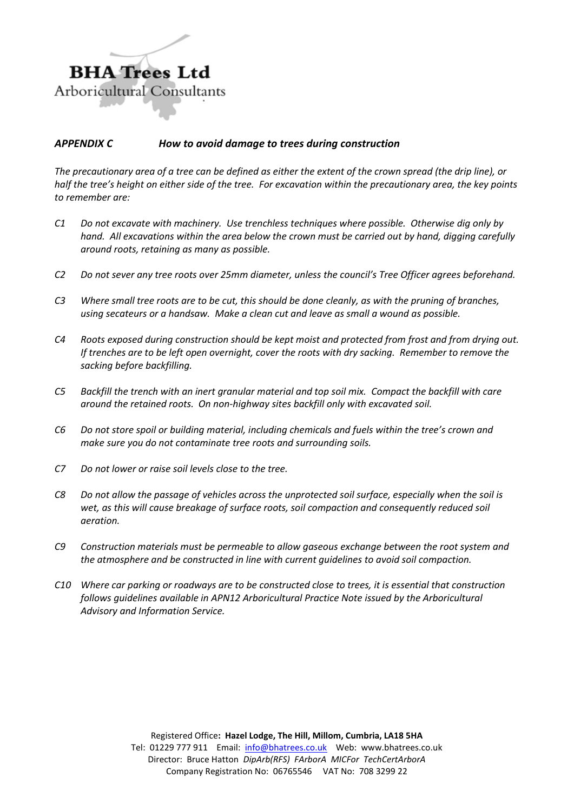

## *APPENDIX C How to avoid damage to trees during construction*

*The precautionary area of a tree can be defined as either the extent of the crown spread (the drip line), or half the tree's height on either side of the tree. For excavation within the precautionary area, the key points to remember are:*

- *C1 Do not excavate with machinery. Use trenchless techniques where possible. Otherwise dig only by hand. All excavations within the area below the crown must be carried out by hand, digging carefully around roots, retaining as many as possible.*
- *C2 Do not sever any tree roots over 25mm diameter, unless the council's Tree Officer agrees beforehand.*
- *C3 Where small tree roots are to be cut, this should be done cleanly, as with the pruning of branches, using secateurs or a handsaw. Make a clean cut and leave as small a wound as possible.*
- *C4 Roots exposed during construction should be kept moist and protected from frost and from drying out. If trenches are to be left open overnight, cover the roots with dry sacking. Remember to remove the sacking before backfilling.*
- *C5 Backfill the trench with an inert granular material and top soil mix. Compact the backfill with care around the retained roots. On non-highway sites backfill only with excavated soil.*
- *C6 Do not store spoil or building material, including chemicals and fuels within the tree's crown and make sure you do not contaminate tree roots and surrounding soils.*
- *C7 Do not lower or raise soil levels close to the tree.*
- *C8 Do not allow the passage of vehicles across the unprotected soil surface, especially when the soil is wet, as this will cause breakage of surface roots, soil compaction and consequently reduced soil aeration.*
- *C9 Construction materials must be permeable to allow gaseous exchange between the root system and the atmosphere and be constructed in line with current guidelines to avoid soil compaction.*
- *C10 Where car parking or roadways are to be constructed close to trees, it is essential that construction follows guidelines available in APN12 Arboricultural Practice Note issued by the Arboricultural Advisory and Information Service.*